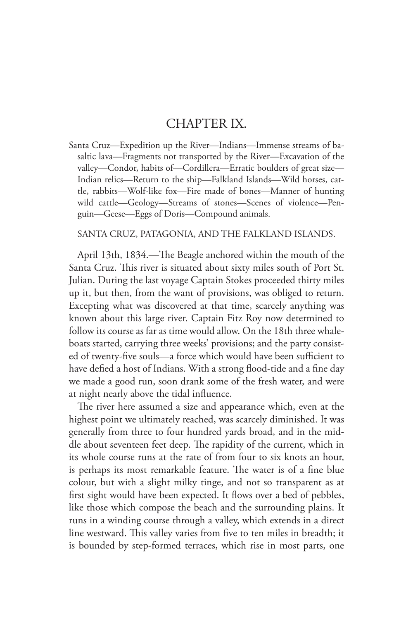## CHAPTER IX.

Santa Cruz—Expedition up the River—Indians—Immense streams of basaltic lava—Fragments not transported by the River—Excavation of the valley—Condor, habits of—Cordillera—Erratic boulders of great size— Indian relics—Return to the ship—Falkland Islands—Wild horses, cattle, rabbits—Wolf-like fox—Fire made of bones—Manner of hunting wild cattle—Geology—Streams of stones—Scenes of violence—Penguin—Geese—Eggs of Doris—Compound animals.

## SANTA CRUZ, PATAGONIA, AND THE FALKLAND ISLANDS.

April 13th, 1834.—The Beagle anchored within the mouth of the Santa Cruz. This river is situated about sixty miles south of Port St. Julian. During the last voyage Captain Stokes proceeded thirty miles up it, but then, from the want of provisions, was obliged to return. Excepting what was discovered at that time, scarcely anything was known about this large river. Captain Fitz Roy now determined to follow its course as far as time would allow. On the 18th three whaleboats started, carrying three weeks' provisions; and the party consisted of twenty-five souls—a force which would have been sufficient to have defied a host of Indians. With a strong flood-tide and a fine day we made a good run, soon drank some of the fresh water, and were at night nearly above the tidal influence.

The river here assumed a size and appearance which, even at the highest point we ultimately reached, was scarcely diminished. It was generally from three to four hundred yards broad, and in the middle about seventeen feet deep. The rapidity of the current, which in its whole course runs at the rate of from four to six knots an hour, is perhaps its most remarkable feature. The water is of a fine blue colour, but with a slight milky tinge, and not so transparent as at first sight would have been expected. It flows over a bed of pebbles, like those which compose the beach and the surrounding plains. It runs in a winding course through a valley, which extends in a direct line westward. This valley varies from five to ten miles in breadth; it is bounded by step-formed terraces, which rise in most parts, one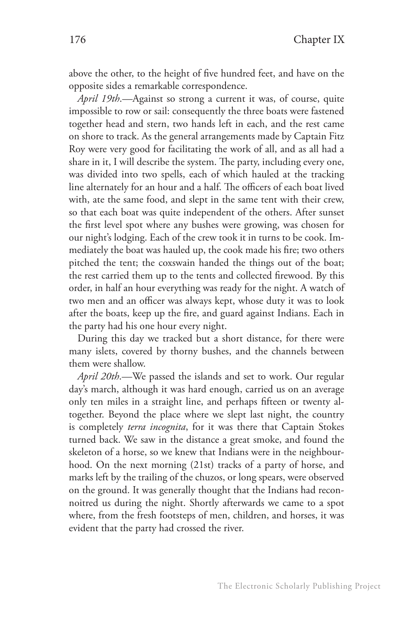above the other, to the height of five hundred feet, and have on the opposite sides a remarkable correspondence.

*April 19th*.—Against so strong a current it was, of course, quite impossible to row or sail: consequently the three boats were fastened together head and stern, two hands left in each, and the rest came on shore to track. As the general arrangements made by Captain Fitz Roy were very good for facilitating the work of all, and as all had a share in it, I will describe the system. The party, including every one, was divided into two spells, each of which hauled at the tracking line alternately for an hour and a half. The officers of each boat lived with, ate the same food, and slept in the same tent with their crew, so that each boat was quite independent of the others. After sunset the first level spot where any bushes were growing, was chosen for our night's lodging. Each of the crew took it in turns to be cook. Immediately the boat was hauled up, the cook made his fire; two others pitched the tent; the coxswain handed the things out of the boat; the rest carried them up to the tents and collected firewood. By this order, in half an hour everything was ready for the night. A watch of two men and an officer was always kept, whose duty it was to look after the boats, keep up the fire, and guard against Indians. Each in the party had his one hour every night.

During this day we tracked but a short distance, for there were many islets, covered by thorny bushes, and the channels between them were shallow.

*April 20th*.—We passed the islands and set to work. Our regular day's march, although it was hard enough, carried us on an average only ten miles in a straight line, and perhaps fifteen or twenty altogether. Beyond the place where we slept last night, the country is completely *terra incognita*, for it was there that Captain Stokes turned back. We saw in the distance a great smoke, and found the skeleton of a horse, so we knew that Indians were in the neighbourhood. On the next morning (21st) tracks of a party of horse, and marks left by the trailing of the chuzos, or long spears, were observed on the ground. It was generally thought that the Indians had reconnoitred us during the night. Shortly afterwards we came to a spot where, from the fresh footsteps of men, children, and horses, it was evident that the party had crossed the river.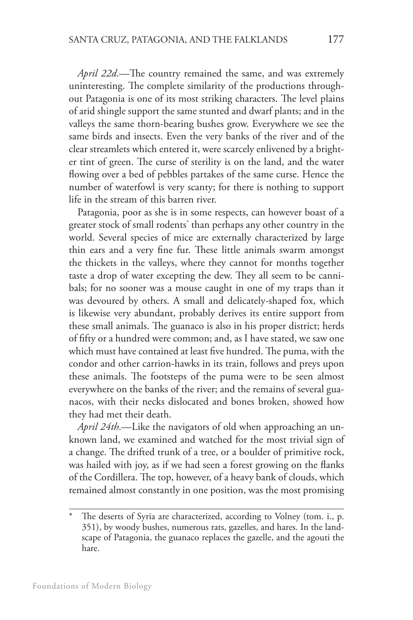*April 22d*.—The country remained the same, and was extremely uninteresting. The complete similarity of the productions throughout Patagonia is one of its most striking characters. The level plains of arid shingle support the same stunted and dwarf plants; and in the valleys the same thorn-bearing bushes grow. Everywhere we see the same birds and insects. Even the very banks of the river and of the clear streamlets which entered it, were scarcely enlivened by a brighter tint of green. The curse of sterility is on the land, and the water flowing over a bed of pebbles partakes of the same curse. Hence the number of waterfowl is very scanty; for there is nothing to support life in the stream of this barren river.

Patagonia, poor as she is in some respects, can however boast of a greater stock of small rodents\* than perhaps any other country in the world. Several species of mice are externally characterized by large thin ears and a very fine fur. These little animals swarm amongst the thickets in the valleys, where they cannot for months together taste a drop of water excepting the dew. They all seem to be cannibals; for no sooner was a mouse caught in one of my traps than it was devoured by others. A small and delicately-shaped fox, which is likewise very abundant, probably derives its entire support from these small animals. The guanaco is also in his proper district; herds of fifty or a hundred were common; and, as I have stated, we saw one which must have contained at least five hundred. The puma, with the condor and other carrion-hawks in its train, follows and preys upon these animals. The footsteps of the puma were to be seen almost everywhere on the banks of the river; and the remains of several guanacos, with their necks dislocated and bones broken, showed how they had met their death.

*April 24th*.—Like the navigators of old when approaching an unknown land, we examined and watched for the most trivial sign of a change. The drifted trunk of a tree, or a boulder of primitive rock, was hailed with joy, as if we had seen a forest growing on the flanks of the Cordillera. The top, however, of a heavy bank of clouds, which remained almost constantly in one position, was the most promising

The deserts of Syria are characterized, according to Volney (tom. i., p. 351), by woody bushes, numerous rats, gazelles, and hares. In the landscape of Patagonia, the guanaco replaces the gazelle, and the agouti the hare.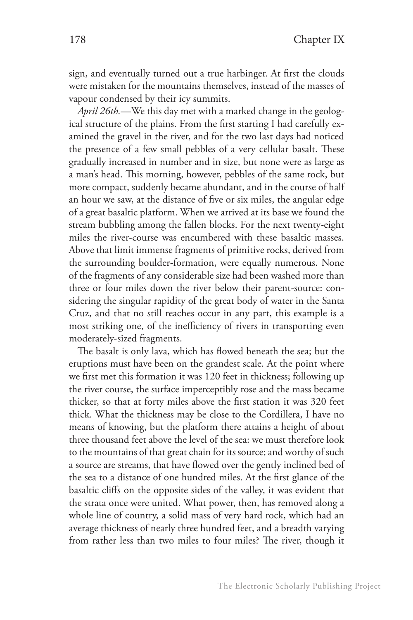sign, and eventually turned out a true harbinger. At first the clouds were mistaken for the mountains themselves, instead of the masses of vapour condensed by their icy summits.

*April 26th.*—We this day met with a marked change in the geological structure of the plains. From the first starting I had carefully examined the gravel in the river, and for the two last days had noticed the presence of a few small pebbles of a very cellular basalt. These gradually increased in number and in size, but none were as large as a man's head. This morning, however, pebbles of the same rock, but more compact, suddenly became abundant, and in the course of half an hour we saw, at the distance of five or six miles, the angular edge of a great basaltic platform. When we arrived at its base we found the stream bubbling among the fallen blocks. For the next twenty-eight miles the river-course was encumbered with these basaltic masses. Above that limit immense fragments of primitive rocks, derived from the surrounding boulder-formation, were equally numerous. None of the fragments of any considerable size had been washed more than three or four miles down the river below their parent-source: considering the singular rapidity of the great body of water in the Santa Cruz, and that no still reaches occur in any part, this example is a most striking one, of the inefficiency of rivers in transporting even moderately-sized fragments.

The basalt is only lava, which has flowed beneath the sea; but the eruptions must have been on the grandest scale. At the point where we first met this formation it was 120 feet in thickness; following up the river course, the surface imperceptibly rose and the mass became thicker, so that at forty miles above the first station it was 320 feet thick. What the thickness may be close to the Cordillera, I have no means of knowing, but the platform there attains a height of about three thousand feet above the level of the sea: we must therefore look to the mountains of that great chain for its source; and worthy of such a source are streams, that have flowed over the gently inclined bed of the sea to a distance of one hundred miles. At the first glance of the basaltic cliffs on the opposite sides of the valley, it was evident that the strata once were united. What power, then, has removed along a whole line of country, a solid mass of very hard rock, which had an average thickness of nearly three hundred feet, and a breadth varying from rather less than two miles to four miles? The river, though it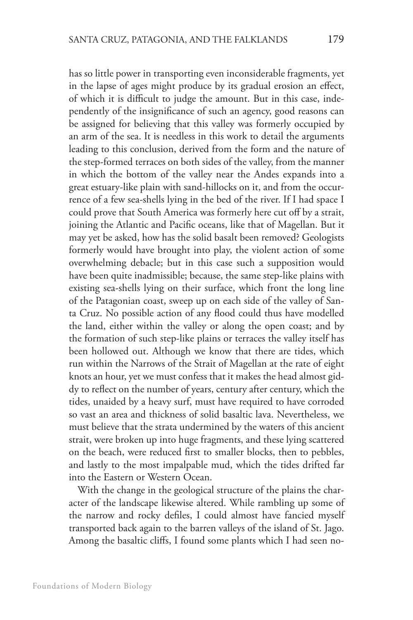has so little power in transporting even inconsiderable fragments, yet in the lapse of ages might produce by its gradual erosion an effect, of which it is difficult to judge the amount. But in this case, independently of the insignificance of such an agency, good reasons can be assigned for believing that this valley was formerly occupied by an arm of the sea. It is needless in this work to detail the arguments leading to this conclusion, derived from the form and the nature of the step-formed terraces on both sides of the valley, from the manner in which the bottom of the valley near the Andes expands into a great estuary-like plain with sand-hillocks on it, and from the occurrence of a few sea-shells lying in the bed of the river. If I had space I could prove that South America was formerly here cut off by a strait, joining the Atlantic and Pacific oceans, like that of Magellan. But it may yet be asked, how has the solid basalt been removed? Geologists formerly would have brought into play, the violent action of some overwhelming debacle; but in this case such a supposition would have been quite inadmissible; because, the same step-like plains with existing sea-shells lying on their surface, which front the long line

of the Patagonian coast, sweep up on each side of the valley of Santa Cruz. No possible action of any flood could thus have modelled the land, either within the valley or along the open coast; and by the formation of such step-like plains or terraces the valley itself has been hollowed out. Although we know that there are tides, which run within the Narrows of the Strait of Magellan at the rate of eight knots an hour, yet we must confess that it makes the head almost giddy to reflect on the number of years, century after century, which the tides, unaided by a heavy surf, must have required to have corroded so vast an area and thickness of solid basaltic lava. Nevertheless, we must believe that the strata undermined by the waters of this ancient strait, were broken up into huge fragments, and these lying scattered on the beach, were reduced first to smaller blocks, then to pebbles, and lastly to the most impalpable mud, which the tides drifted far into the Eastern or Western Ocean.

With the change in the geological structure of the plains the character of the landscape likewise altered. While rambling up some of the narrow and rocky defiles, I could almost have fancied myself transported back again to the barren valleys of the island of St. Jago. Among the basaltic cliffs, I found some plants which I had seen no-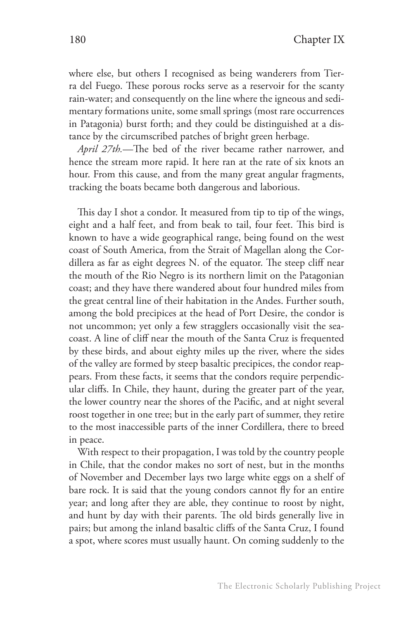where else, but others I recognised as being wanderers from Tierra del Fuego. These porous rocks serve as a reservoir for the scanty rain-water; and consequently on the line where the igneous and sedimentary formations unite, some small springs (most rare occurrences in Patagonia) burst forth; and they could be distinguished at a distance by the circumscribed patches of bright green herbage.

*April 27th.*—The bed of the river became rather narrower, and hence the stream more rapid. It here ran at the rate of six knots an hour. From this cause, and from the many great angular fragments, tracking the boats became both dangerous and laborious.

This day I shot a condor. It measured from tip to tip of the wings, eight and a half feet, and from beak to tail, four feet. This bird is known to have a wide geographical range, being found on the west coast of South America, from the Strait of Magellan along the Cordillera as far as eight degrees N. of the equator. The steep cliff near the mouth of the Rio Negro is its northern limit on the Patagonian coast; and they have there wandered about four hundred miles from the great central line of their habitation in the Andes. Further south, among the bold precipices at the head of Port Desire, the condor is not uncommon; yet only a few stragglers occasionally visit the seacoast. A line of cliff near the mouth of the Santa Cruz is frequented by these birds, and about eighty miles up the river, where the sides of the valley are formed by steep basaltic precipices, the condor reappears. From these facts, it seems that the condors require perpendicular cliffs. In Chile, they haunt, during the greater part of the year, the lower country near the shores of the Pacific, and at night several roost together in one tree; but in the early part of summer, they retire to the most inaccessible parts of the inner Cordillera, there to breed in peace.

With respect to their propagation, I was told by the country people in Chile, that the condor makes no sort of nest, but in the months of November and December lays two large white eggs on a shelf of bare rock. It is said that the young condors cannot fly for an entire year; and long after they are able, they continue to roost by night, and hunt by day with their parents. The old birds generally live in pairs; but among the inland basaltic cliffs of the Santa Cruz, I found a spot, where scores must usually haunt. On coming suddenly to the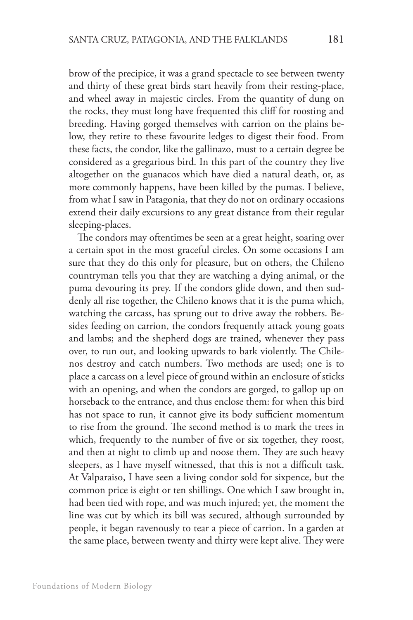brow of the precipice, it was a grand spectacle to see between twenty and thirty of these great birds start heavily from their resting-place, and wheel away in majestic circles. From the quantity of dung on the rocks, they must long have frequented this cliff for roosting and breeding. Having gorged themselves with carrion on the plains below, they retire to these favourite ledges to digest their food. From these facts, the condor, like the gallinazo, must to a certain degree be considered as a gregarious bird. In this part of the country they live altogether on the guanacos which have died a natural death, or, as more commonly happens, have been killed by the pumas. I believe, from what I saw in Patagonia, that they do not on ordinary occasions extend their daily excursions to any great distance from their regular sleeping-places.

The condors may oftentimes be seen at a great height, soaring over a certain spot in the most graceful circles. On some occasions I am sure that they do this only for pleasure, but on others, the Chileno countryman tells you that they are watching a dying animal, or the puma devouring its prey. If the condors glide down, and then suddenly all rise together, the Chileno knows that it is the puma which, watching the carcass, has sprung out to drive away the robbers. Besides feeding on carrion, the condors frequently attack young goats and lambs; and the shepherd dogs are trained, whenever they pass over, to run out, and looking upwards to bark violently. The Chilenos destroy and catch numbers. Two methods are used; one is to place a carcass on a level piece of ground within an enclosure of sticks with an opening, and when the condors are gorged, to gallop up on horseback to the entrance, and thus enclose them: for when this bird has not space to run, it cannot give its body sufficient momentum to rise from the ground. The second method is to mark the trees in which, frequently to the number of five or six together, they roost, and then at night to climb up and noose them. They are such heavy sleepers, as I have myself witnessed, that this is not a difficult task. At Valparaiso, I have seen a living condor sold for sixpence, but the common price is eight or ten shillings. One which I saw brought in, had been tied with rope, and was much injured; yet, the moment the line was cut by which its bill was secured, although surrounded by people, it began ravenously to tear a piece of carrion. In a garden at the same place, between twenty and thirty were kept alive. They were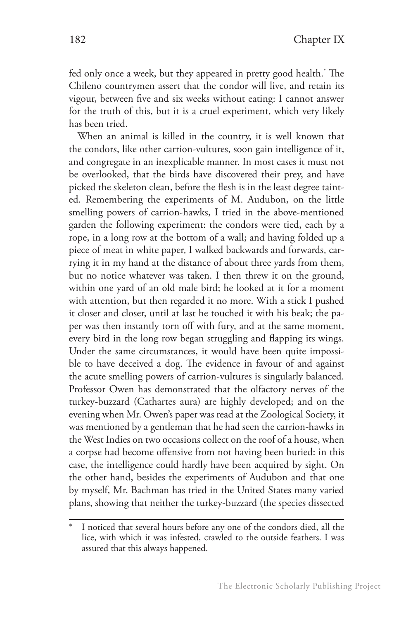fed only once a week, but they appeared in pretty good health.\* The Chileno countrymen assert that the condor will live, and retain its vigour, between five and six weeks without eating: I cannot answer for the truth of this, but it is a cruel experiment, which very likely has been tried.

When an animal is killed in the country, it is well known that the condors, like other carrion-vultures, soon gain intelligence of it, and congregate in an inexplicable manner. In most cases it must not be overlooked, that the birds have discovered their prey, and have picked the skeleton clean, before the flesh is in the least degree tainted. Remembering the experiments of M. Audubon, on the little smelling powers of carrion-hawks, I tried in the above-mentioned garden the following experiment: the condors were tied, each by a rope, in a long row at the bottom of a wall; and having folded up a piece of meat in white paper, I walked backwards and forwards, carrying it in my hand at the distance of about three yards from them, but no notice whatever was taken. I then threw it on the ground, within one yard of an old male bird; he looked at it for a moment with attention, but then regarded it no more. With a stick I pushed it closer and closer, until at last he touched it with his beak; the paper was then instantly torn off with fury, and at the same moment, every bird in the long row began struggling and flapping its wings. Under the same circumstances, it would have been quite impossible to have deceived a dog. The evidence in favour of and against the acute smelling powers of carrion-vultures is singularly balanced. Professor Owen has demonstrated that the olfactory nerves of the turkey-buzzard (Cathartes aura) are highly developed; and on the evening when Mr. Owen's paper was read at the Zoological Society, it was mentioned by a gentleman that he had seen the carrion-hawks in the West Indies on two occasions collect on the roof of a house, when a corpse had become offensive from not having been buried: in this case, the intelligence could hardly have been acquired by sight. On the other hand, besides the experiments of Audubon and that one by myself, Mr. Bachman has tried in the United States many varied plans, showing that neither the turkey-buzzard (the species dissected

I noticed that several hours before any one of the condors died, all the lice, with which it was infested, crawled to the outside feathers. I was assured that this always happened.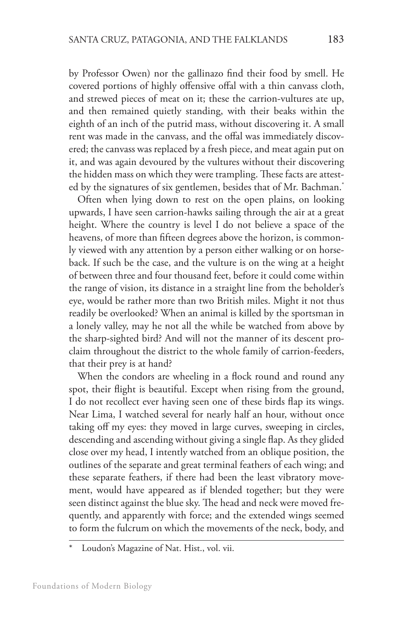by Professor Owen) nor the gallinazo find their food by smell. He covered portions of highly offensive offal with a thin canvass cloth, and strewed pieces of meat on it; these the carrion-vultures ate up, and then remained quietly standing, with their beaks within the eighth of an inch of the putrid mass, without discovering it. A small rent was made in the canvass, and the offal was immediately discovered; the canvass was replaced by a fresh piece, and meat again put on it, and was again devoured by the vultures without their discovering the hidden mass on which they were trampling. These facts are attested by the signatures of six gentlemen, besides that of Mr. Bachman.<sup>\*</sup>

Often when lying down to rest on the open plains, on looking upwards, I have seen carrion-hawks sailing through the air at a great height. Where the country is level I do not believe a space of the heavens, of more than fifteen degrees above the horizon, is commonly viewed with any attention by a person either walking or on horseback. If such be the case, and the vulture is on the wing at a height of between three and four thousand feet, before it could come within the range of vision, its distance in a straight line from the beholder's eye, would be rather more than two British miles. Might it not thus readily be overlooked? When an animal is killed by the sportsman in a lonely valley, may he not all the while be watched from above by the sharp-sighted bird? And will not the manner of its descent proclaim throughout the district to the whole family of carrion-feeders, that their prey is at hand?

When the condors are wheeling in a flock round and round any spot, their flight is beautiful. Except when rising from the ground, I do not recollect ever having seen one of these birds flap its wings. Near Lima, I watched several for nearly half an hour, without once taking off my eyes: they moved in large curves, sweeping in circles, descending and ascending without giving a single flap. As they glided close over my head, I intently watched from an oblique position, the outlines of the separate and great terminal feathers of each wing; and these separate feathers, if there had been the least vibratory movement, would have appeared as if blended together; but they were seen distinct against the blue sky. The head and neck were moved frequently, and apparently with force; and the extended wings seemed to form the fulcrum on which the movements of the neck, body, and

Loudon's Magazine of Nat. Hist., vol. vii.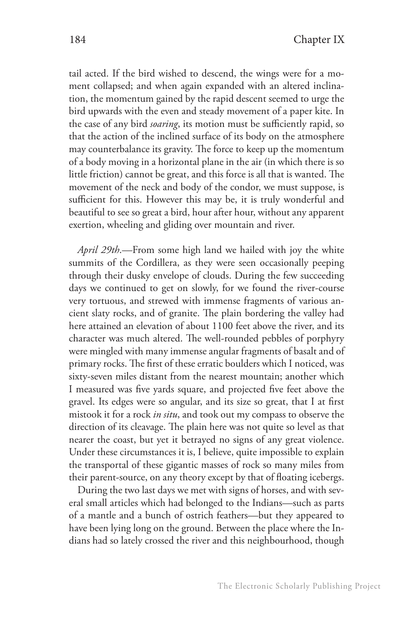tail acted. If the bird wished to descend, the wings were for a moment collapsed; and when again expanded with an altered inclination, the momentum gained by the rapid descent seemed to urge the bird upwards with the even and steady movement of a paper kite. In the case of any bird *soaring*, its motion must be sufficiently rapid, so that the action of the inclined surface of its body on the atmosphere may counterbalance its gravity. The force to keep up the momentum of a body moving in a horizontal plane in the air (in which there is so little friction) cannot be great, and this force is all that is wanted. The movement of the neck and body of the condor, we must suppose, is sufficient for this. However this may be, it is truly wonderful and beautiful to see so great a bird, hour after hour, without any apparent exertion, wheeling and gliding over mountain and river.

*April 29th*.—From some high land we hailed with joy the white summits of the Cordillera, as they were seen occasionally peeping through their dusky envelope of clouds. During the few succeeding days we continued to get on slowly, for we found the river-course very tortuous, and strewed with immense fragments of various ancient slaty rocks, and of granite. The plain bordering the valley had here attained an elevation of about 1100 feet above the river, and its character was much altered. The well-rounded pebbles of porphyry were mingled with many immense angular fragments of basalt and of primary rocks. The first of these erratic boulders which I noticed, was sixty-seven miles distant from the nearest mountain; another which I measured was five yards square, and projected five feet above the gravel. Its edges were so angular, and its size so great, that I at first mistook it for a rock *in situ*, and took out my compass to observe the direction of its cleavage. The plain here was not quite so level as that nearer the coast, but yet it betrayed no signs of any great violence. Under these circumstances it is, I believe, quite impossible to explain the transportal of these gigantic masses of rock so many miles from their parent-source, on any theory except by that of floating icebergs.

During the two last days we met with signs of horses, and with several small articles which had belonged to the Indians—such as parts of a mantle and a bunch of ostrich feathers—but they appeared to have been lying long on the ground. Between the place where the Indians had so lately crossed the river and this neighbourhood, though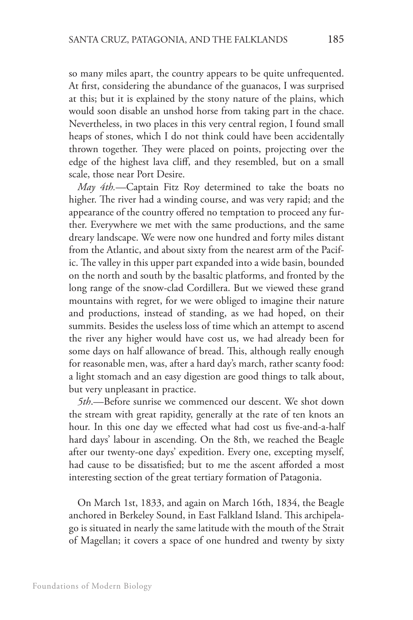so many miles apart, the country appears to be quite unfrequented. At first, considering the abundance of the guanacos, I was surprised at this; but it is explained by the stony nature of the plains, which would soon disable an unshod horse from taking part in the chace. Nevertheless, in two places in this very central region, I found small heaps of stones, which I do not think could have been accidentally thrown together. They were placed on points, projecting over the edge of the highest lava cliff, and they resembled, but on a small scale, those near Port Desire.

*May 4th.*—Captain Fitz Roy determined to take the boats no higher. The river had a winding course, and was very rapid; and the appearance of the country offered no temptation to proceed any further. Everywhere we met with the same productions, and the same dreary landscape. We were now one hundred and forty miles distant from the Atlantic, and about sixty from the nearest arm of the Pacific. The valley in this upper part expanded into a wide basin, bounded on the north and south by the basaltic platforms, and fronted by the long range of the snow-clad Cordillera. But we viewed these grand mountains with regret, for we were obliged to imagine their nature and productions, instead of standing, as we had hoped, on their summits. Besides the useless loss of time which an attempt to ascend the river any higher would have cost us, we had already been for some days on half allowance of bread. This, although really enough for reasonable men, was, after a hard day's march, rather scanty food: a light stomach and an easy digestion are good things to talk about, but very unpleasant in practice.

*5th*.—Before sunrise we commenced our descent. We shot down the stream with great rapidity, generally at the rate of ten knots an hour. In this one day we effected what had cost us five-and-a-half hard days' labour in ascending. On the 8th, we reached the Beagle after our twenty-one days' expedition. Every one, excepting myself, had cause to be dissatisfied; but to me the ascent afforded a most interesting section of the great tertiary formation of Patagonia.

On March 1st, 1833, and again on March 16th, 1834, the Beagle anchored in Berkeley Sound, in East Falkland Island. This archipelago is situated in nearly the same latitude with the mouth of the Strait of Magellan; it covers a space of one hundred and twenty by sixty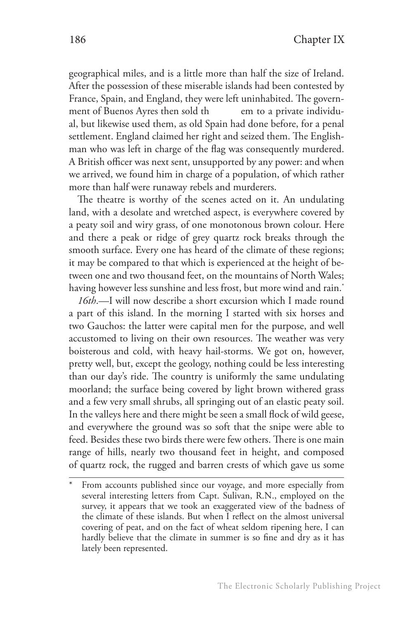geographical miles, and is a little more than half the size of Ireland. After the possession of these miserable islands had been contested by France, Spain, and England, they were left uninhabited. The government of Buenos Ayres then sold there in to a private individual, but likewise used them, as old Spain had done before, for a penal settlement. England claimed her right and seized them. The Englishman who was left in charge of the flag was consequently murdered. A British officer was next sent, unsupported by any power: and when we arrived, we found him in charge of a population, of which rather more than half were runaway rebels and murderers.

The theatre is worthy of the scenes acted on it. An undulating land, with a desolate and wretched aspect, is everywhere covered by a peaty soil and wiry grass, of one monotonous brown colour. Here and there a peak or ridge of grey quartz rock breaks through the smooth surface. Every one has heard of the climate of these regions; it may be compared to that which is experienced at the height of between one and two thousand feet, on the mountains of North Wales; having however less sunshine and less frost, but more wind and rain.<sup>\*</sup>

*16th*.—I will now describe a short excursion which I made round a part of this island. In the morning I started with six horses and two Gauchos: the latter were capital men for the purpose, and well accustomed to living on their own resources. The weather was very boisterous and cold, with heavy hail-storms. We got on, however, pretty well, but, except the geology, nothing could be less interesting than our day's ride. The country is uniformly the same undulating moorland; the surface being covered by light brown withered grass and a few very small shrubs, all springing out of an elastic peaty soil. In the valleys here and there might be seen a small flock of wild geese, and everywhere the ground was so soft that the snipe were able to feed. Besides these two birds there were few others. There is one main range of hills, nearly two thousand feet in height, and composed of quartz rock, the rugged and barren crests of which gave us some

From accounts published since our voyage, and more especially from several interesting letters from Capt. Sulivan, R.N., employed on the survey, it appears that we took an exaggerated view of the badness of the climate of these islands. But when I reflect on the almost universal covering of peat, and on the fact of wheat seldom ripening here, I can hardly believe that the climate in summer is so fine and dry as it has lately been represented.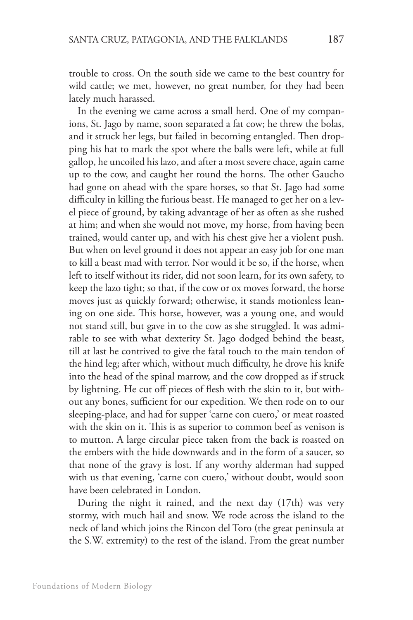trouble to cross. On the south side we came to the best country for wild cattle; we met, however, no great number, for they had been lately much harassed.

In the evening we came across a small herd. One of my companions, St. Jago by name, soon separated a fat cow; he threw the bolas, and it struck her legs, but failed in becoming entangled. Then dropping his hat to mark the spot where the balls were left, while at full gallop, he uncoiled his lazo, and after a most severe chace, again came up to the cow, and caught her round the horns. The other Gaucho had gone on ahead with the spare horses, so that St. Jago had some difficulty in killing the furious beast. He managed to get her on a level piece of ground, by taking advantage of her as often as she rushed at him; and when she would not move, my horse, from having been trained, would canter up, and with his chest give her a violent push. But when on level ground it does not appear an easy job for one man to kill a beast mad with terror. Nor would it be so, if the horse, when left to itself without its rider, did not soon learn, for its own safety, to keep the lazo tight; so that, if the cow or ox moves forward, the horse moves just as quickly forward; otherwise, it stands motionless leaning on one side. This horse, however, was a young one, and would not stand still, but gave in to the cow as she struggled. It was admirable to see with what dexterity St. Jago dodged behind the beast, till at last he contrived to give the fatal touch to the main tendon of the hind leg; after which, without much difficulty, he drove his knife into the head of the spinal marrow, and the cow dropped as if struck by lightning. He cut off pieces of flesh with the skin to it, but without any bones, sufficient for our expedition. We then rode on to our sleeping-place, and had for supper 'carne con cuero,' or meat roasted with the skin on it. This is as superior to common beef as venison is to mutton. A large circular piece taken from the back is roasted on the embers with the hide downwards and in the form of a saucer, so that none of the gravy is lost. If any worthy alderman had supped with us that evening, 'carne con cuero,' without doubt, would soon have been celebrated in London.

During the night it rained, and the next day (17th) was very stormy, with much hail and snow. We rode across the island to the neck of land which joins the Rincon del Toro (the great peninsula at the S.W. extremity) to the rest of the island. From the great number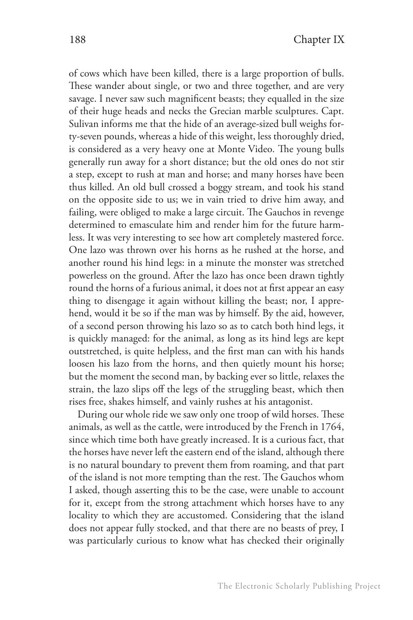of cows which have been killed, there is a large proportion of bulls. These wander about single, or two and three together, and are very savage. I never saw such magnificent beasts; they equalled in the size of their huge heads and necks the Grecian marble sculptures. Capt. Sulivan informs me that the hide of an average-sized bull weighs forty-seven pounds, whereas a hide of this weight, less thoroughly dried, is considered as a very heavy one at Monte Video. The young bulls generally run away for a short distance; but the old ones do not stir a step, except to rush at man and horse; and many horses have been thus killed. An old bull crossed a boggy stream, and took his stand on the opposite side to us; we in vain tried to drive him away, and failing, were obliged to make a large circuit. The Gauchos in revenge determined to emasculate him and render him for the future harmless. It was very interesting to see how art completely mastered force. One lazo was thrown over his horns as he rushed at the horse, and another round his hind legs: in a minute the monster was stretched powerless on the ground. After the lazo has once been drawn tightly round the horns of a furious animal, it does not at first appear an easy thing to disengage it again without killing the beast; nor, I apprehend, would it be so if the man was by himself. By the aid, however, of a second person throwing his lazo so as to catch both hind legs, it is quickly managed: for the animal, as long as its hind legs are kept outstretched, is quite helpless, and the first man can with his hands loosen his lazo from the horns, and then quietly mount his horse; but the moment the second man, by backing ever so little, relaxes the strain, the lazo slips off the legs of the struggling beast, which then rises free, shakes himself, and vainly rushes at his antagonist.

During our whole ride we saw only one troop of wild horses. These animals, as well as the cattle, were introduced by the French in 1764, since which time both have greatly increased. It is a curious fact, that the horses have never left the eastern end of the island, although there is no natural boundary to prevent them from roaming, and that part of the island is not more tempting than the rest. The Gauchos whom I asked, though asserting this to be the case, were unable to account for it, except from the strong attachment which horses have to any locality to which they are accustomed. Considering that the island does not appear fully stocked, and that there are no beasts of prey, I was particularly curious to know what has checked their originally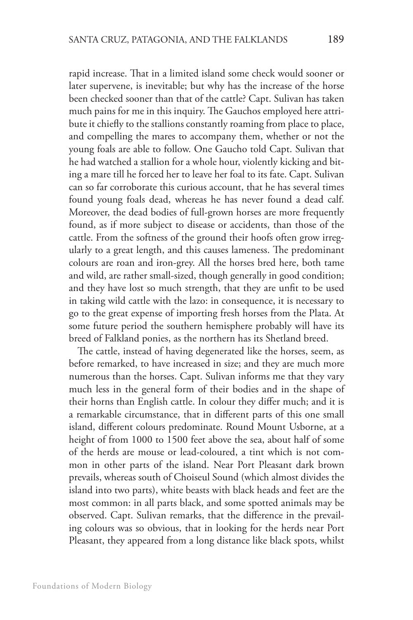rapid increase. That in a limited island some check would sooner or later supervene, is inevitable; but why has the increase of the horse been checked sooner than that of the cattle? Capt. Sulivan has taken much pains for me in this inquiry. The Gauchos employed here attribute it chiefly to the stallions constantly roaming from place to place, and compelling the mares to accompany them, whether or not the young foals are able to follow. One Gaucho told Capt. Sulivan that he had watched a stallion for a whole hour, violently kicking and biting a mare till he forced her to leave her foal to its fate. Capt. Sulivan can so far corroborate this curious account, that he has several times found young foals dead, whereas he has never found a dead calf. Moreover, the dead bodies of full-grown horses are more frequently found, as if more subject to disease or accidents, than those of the cattle. From the softness of the ground their hoofs often grow irregularly to a great length, and this causes lameness. The predominant colours are roan and iron-grey. All the horses bred here, both tame and wild, are rather small-sized, though generally in good condition; and they have lost so much strength, that they are unfit to be used in taking wild cattle with the lazo: in consequence, it is necessary to go to the great expense of importing fresh horses from the Plata. At some future period the southern hemisphere probably will have its breed of Falkland ponies, as the northern has its Shetland breed.

The cattle, instead of having degenerated like the horses, seem, as before remarked, to have increased in size; and they are much more numerous than the horses. Capt. Sulivan informs me that they vary much less in the general form of their bodies and in the shape of their horns than English cattle. In colour they differ much; and it is a remarkable circumstance, that in different parts of this one small island, different colours predominate. Round Mount Usborne, at a height of from 1000 to 1500 feet above the sea, about half of some of the herds are mouse or lead-coloured, a tint which is not common in other parts of the island. Near Port Pleasant dark brown prevails, whereas south of Choiseul Sound (which almost divides the island into two parts), white beasts with black heads and feet are the most common: in all parts black, and some spotted animals may be observed. Capt. Sulivan remarks, that the difference in the prevailing colours was so obvious, that in looking for the herds near Port Pleasant, they appeared from a long distance like black spots, whilst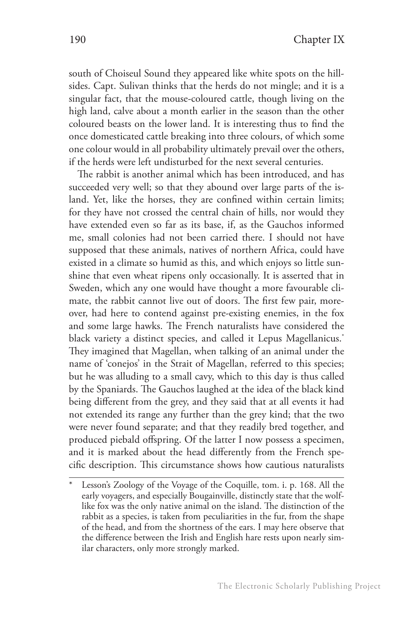south of Choiseul Sound they appeared like white spots on the hillsides. Capt. Sulivan thinks that the herds do not mingle; and it is a singular fact, that the mouse-coloured cattle, though living on the high land, calve about a month earlier in the season than the other coloured beasts on the lower land. It is interesting thus to find the once domesticated cattle breaking into three colours, of which some one colour would in all probability ultimately prevail over the others, if the herds were left undisturbed for the next several centuries.

The rabbit is another animal which has been introduced, and has succeeded very well; so that they abound over large parts of the island. Yet, like the horses, they are confined within certain limits; for they have not crossed the central chain of hills, nor would they have extended even so far as its base, if, as the Gauchos informed me, small colonies had not been carried there. I should not have supposed that these animals, natives of northern Africa, could have existed in a climate so humid as this, and which enjoys so little sunshine that even wheat ripens only occasionally. It is asserted that in Sweden, which any one would have thought a more favourable climate, the rabbit cannot live out of doors. The first few pair, moreover, had here to contend against pre-existing enemies, in the fox and some large hawks. The French naturalists have considered the black variety a distinct species, and called it Lepus Magellanicus.<sup>\*</sup> They imagined that Magellan, when talking of an animal under the name of 'conejos' in the Strait of Magellan, referred to this species; but he was alluding to a small cavy, which to this day is thus called by the Spaniards. The Gauchos laughed at the idea of the black kind being different from the grey, and they said that at all events it had not extended its range any further than the grey kind; that the two were never found separate; and that they readily bred together, and produced piebald offspring. Of the latter I now possess a specimen, and it is marked about the head differently from the French specific description. This circumstance shows how cautious naturalists

Lesson's Zoology of the Voyage of the Coquille, tom. i. p. 168. All the early voyagers, and especially Bougainville, distinctly state that the wolflike fox was the only native animal on the island. The distinction of the rabbit as a species, is taken from peculiarities in the fur, from the shape of the head, and from the shortness of the ears. I may here observe that the difference between the Irish and English hare rests upon nearly similar characters, only more strongly marked.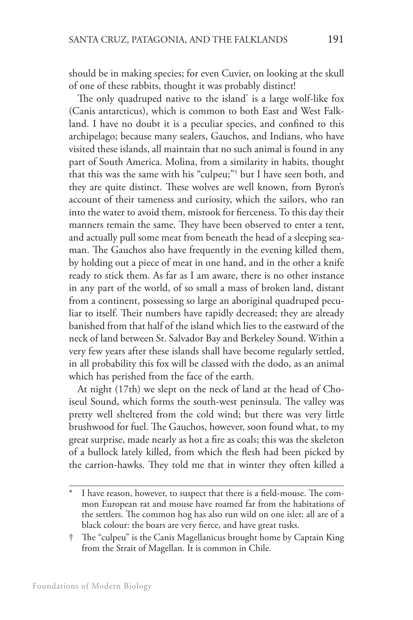should be in making species; for even Cuvier, on looking at the skull of one of these rabbits, thought it was probably distinct!

The only quadruped native to the island\* is a large wolf-like fox (Canis antarcticus), which is common to both East and West Falkland. I have no doubt it is a peculiar species, and confined to this archipelago; because many sealers, Gauchos, and Indians, who have visited these islands, all maintain that no such animal is found in any part of South America. Molina, from a similarity in habits, thought that this was the same with his "culpeu;"† but I have seen both, and they are quite distinct. These wolves are well known, from Byron's account of their tameness and curiosity, which the sailors, who ran into the water to avoid them, mistook for fierceness. To this day their manners remain the same. They have been observed to enter a tent, and actually pull some meat from beneath the head of a sleeping seaman. The Gauchos also have frequently in the evening killed them, by holding out a piece of meat in one hand, and in the other a knife ready to stick them. As far as I am aware, there is no other instance in any part of the world, of so small a mass of broken land, distant from a continent, possessing so large an aboriginal quadruped peculiar to itself. Their numbers have rapidly decreased; they are already banished from that half of the island which lies to the eastward of the neck of land between St. Salvador Bay and Berkeley Sound. Within a very few years after these islands shall have become regularly settled, in all probability this fox will be classed with the dodo, as an animal which has perished from the face of the earth.

At night (17th) we slept on the neck of land at the head of Choiseul Sound, which forms the south-west peninsula. The valley was pretty well sheltered from the cold wind; but there was very little brushwood for fuel. The Gauchos, however, soon found what, to my great surprise, made nearly as hot a fire as coals; this was the skeleton of a bullock lately killed, from which the flesh had been picked by the carrion-hawks. They told me that in winter they often killed a

I have reason, however, to suspect that there is a field-mouse. The common European rat and mouse have roamed far from the habitations of the settlers. The common hog has also run wild on one islet: all are of a black colour: the boars are very fierce, and have great tusks.

<sup>†</sup> The "culpeu" is the Canis Magellanicus brought home by Captain King from the Strait of Magellan. It is common in Chile.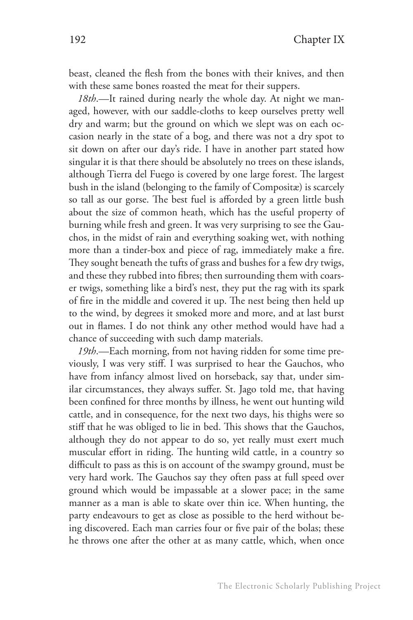beast, cleaned the flesh from the bones with their knives, and then with these same bones roasted the meat for their suppers.

*18th*.—It rained during nearly the whole day. At night we managed, however, with our saddle-cloths to keep ourselves pretty well dry and warm; but the ground on which we slept was on each occasion nearly in the state of a bog, and there was not a dry spot to sit down on after our day's ride. I have in another part stated how singular it is that there should be absolutely no trees on these islands, although Tierra del Fuego is covered by one large forest. The largest bush in the island (belonging to the family of Compositæ) is scarcely so tall as our gorse. The best fuel is afforded by a green little bush about the size of common heath, which has the useful property of burning while fresh and green. It was very surprising to see the Gauchos, in the midst of rain and everything soaking wet, with nothing more than a tinder-box and piece of rag, immediately make a fire. They sought beneath the tufts of grass and bushes for a few dry twigs, and these they rubbed into fibres; then surrounding them with coarser twigs, something like a bird's nest, they put the rag with its spark of fire in the middle and covered it up. The nest being then held up to the wind, by degrees it smoked more and more, and at last burst out in flames. I do not think any other method would have had a chance of succeeding with such damp materials.

*19th*.—Each morning, from not having ridden for some time previously, I was very stiff. I was surprised to hear the Gauchos, who have from infancy almost lived on horseback, say that, under similar circumstances, they always suffer. St. Jago told me, that having been confined for three months by illness, he went out hunting wild cattle, and in consequence, for the next two days, his thighs were so stiff that he was obliged to lie in bed. This shows that the Gauchos, although they do not appear to do so, yet really must exert much muscular effort in riding. The hunting wild cattle, in a country so difficult to pass as this is on account of the swampy ground, must be very hard work. The Gauchos say they often pass at full speed over ground which would be impassable at a slower pace; in the same manner as a man is able to skate over thin ice. When hunting, the party endeavours to get as close as possible to the herd without being discovered. Each man carries four or five pair of the bolas; these he throws one after the other at as many cattle, which, when once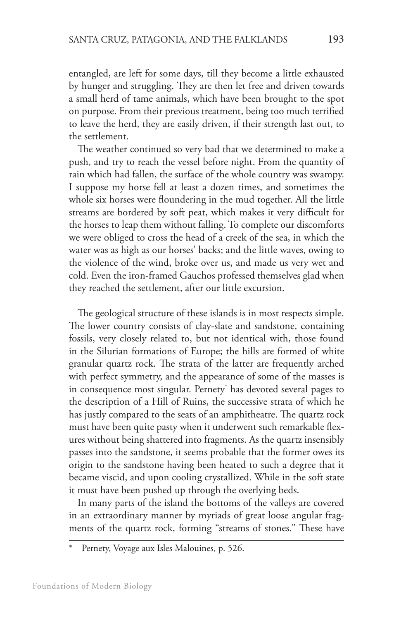entangled, are left for some days, till they become a little exhausted by hunger and struggling. They are then let free and driven towards a small herd of tame animals, which have been brought to the spot on purpose. From their previous treatment, being too much terrified to leave the herd, they are easily driven, if their strength last out, to the settlement.

The weather continued so very bad that we determined to make a push, and try to reach the vessel before night. From the quantity of rain which had fallen, the surface of the whole country was swampy. I suppose my horse fell at least a dozen times, and sometimes the whole six horses were floundering in the mud together. All the little streams are bordered by soft peat, which makes it very difficult for the horses to leap them without falling. To complete our discomforts we were obliged to cross the head of a creek of the sea, in which the water was as high as our horses' backs; and the little waves, owing to the violence of the wind, broke over us, and made us very wet and cold. Even the iron-framed Gauchos professed themselves glad when they reached the settlement, after our little excursion.

The geological structure of these islands is in most respects simple. The lower country consists of clay-slate and sandstone, containing fossils, very closely related to, but not identical with, those found in the Silurian formations of Europe; the hills are formed of white granular quartz rock. The strata of the latter are frequently arched with perfect symmetry, and the appearance of some of the masses is in consequence most singular. Pernety\* has devoted several pages to the description of a Hill of Ruins, the successive strata of which he has justly compared to the seats of an amphitheatre. The quartz rock must have been quite pasty when it underwent such remarkable flexures without being shattered into fragments. As the quartz insensibly passes into the sandstone, it seems probable that the former owes its origin to the sandstone having been heated to such a degree that it became viscid, and upon cooling crystallized. While in the soft state it must have been pushed up through the overlying beds.

In many parts of the island the bottoms of the valleys are covered in an extraordinary manner by myriads of great loose angular fragments of the quartz rock, forming "streams of stones." These have

Pernety, Voyage aux Isles Malouines, p. 526.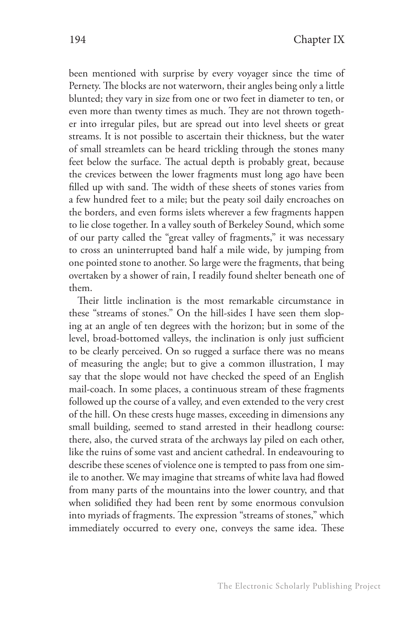been mentioned with surprise by every voyager since the time of Pernety. The blocks are not waterworn, their angles being only a little blunted; they vary in size from one or two feet in diameter to ten, or even more than twenty times as much. They are not thrown together into irregular piles, but are spread out into level sheets or great streams. It is not possible to ascertain their thickness, but the water of small streamlets can be heard trickling through the stones many feet below the surface. The actual depth is probably great, because the crevices between the lower fragments must long ago have been filled up with sand. The width of these sheets of stones varies from a few hundred feet to a mile; but the peaty soil daily encroaches on the borders, and even forms islets wherever a few fragments happen to lie close together. In a valley south of Berkeley Sound, which some of our party called the "great valley of fragments," it was necessary to cross an uninterrupted band half a mile wide, by jumping from one pointed stone to another. So large were the fragments, that being overtaken by a shower of rain, I readily found shelter beneath one of them.

Their little inclination is the most remarkable circumstance in these "streams of stones." On the hill-sides I have seen them sloping at an angle of ten degrees with the horizon; but in some of the level, broad-bottomed valleys, the inclination is only just sufficient to be clearly perceived. On so rugged a surface there was no means of measuring the angle; but to give a common illustration, I may say that the slope would not have checked the speed of an English mail-coach. In some places, a continuous stream of these fragments followed up the course of a valley, and even extended to the very crest of the hill. On these crests huge masses, exceeding in dimensions any small building, seemed to stand arrested in their headlong course: there, also, the curved strata of the archways lay piled on each other, like the ruins of some vast and ancient cathedral. In endeavouring to describe these scenes of violence one is tempted to pass from one simile to another. We may imagine that streams of white lava had flowed from many parts of the mountains into the lower country, and that when solidified they had been rent by some enormous convulsion into myriads of fragments. The expression "streams of stones," which immediately occurred to every one, conveys the same idea. These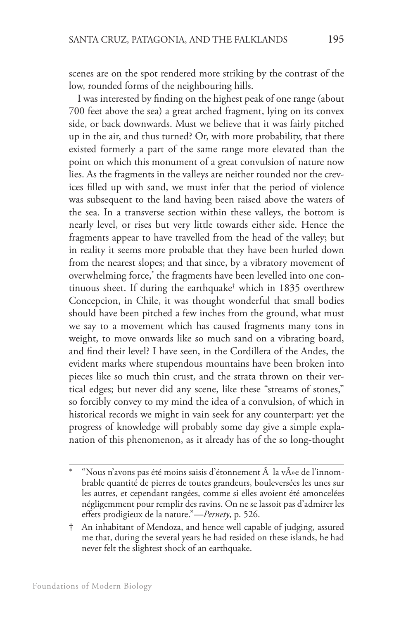scenes are on the spot rendered more striking by the contrast of the low, rounded forms of the neighbouring hills.

I was interested by finding on the highest peak of one range (about 700 feet above the sea) a great arched fragment, lying on its convex side, or back downwards. Must we believe that it was fairly pitched up in the air, and thus turned? Or, with more probability, that there existed formerly a part of the same range more elevated than the point on which this monument of a great convulsion of nature now lies. As the fragments in the valleys are neither rounded nor the crevices filled up with sand, we must infer that the period of violence was subsequent to the land having been raised above the waters of the sea. In a transverse section within these valleys, the bottom is nearly level, or rises but very little towards either side. Hence the fragments appear to have travelled from the head of the valley; but in reality it seems more probable that they have been hurled down from the nearest slopes; and that since, by a vibratory movement of overwhelming force,\* the fragments have been levelled into one continuous sheet. If during the earthquake† which in 1835 overthrew Concepcion, in Chile, it was thought wonderful that small bodies should have been pitched a few inches from the ground, what must we say to a movement which has caused fragments many tons in weight, to move onwards like so much sand on a vibrating board, and find their level? I have seen, in the Cordillera of the Andes, the evident marks where stupendous mountains have been broken into pieces like so much thin crust, and the strata thrown on their vertical edges; but never did any scene, like these "streams of stones," so forcibly convey to my mind the idea of a convulsion, of which in historical records we might in vain seek for any counterpart: yet the progress of knowledge will probably some day give a simple explanation of this phenomenon, as it already has of the so long-thought

<sup>&</sup>quot;Nous n'avons pas été moins saisis d'étonnement  $\tilde{A}$  la v $\tilde{A}$ »e de l'innombrable quantité de pierres de toutes grandeurs, bouleversées les unes sur les autres, et cependant rangées, comme si elles avoient été amoncelées négligemment pour remplir des ravins. On ne se lassoit pas d'admirer les effets prodigieux de la nature."—*Pernety*, p. 526.

<sup>†</sup> An inhabitant of Mendoza, and hence well capable of judging, assured me that, during the several years he had resided on these islands, he had never felt the slightest shock of an earthquake.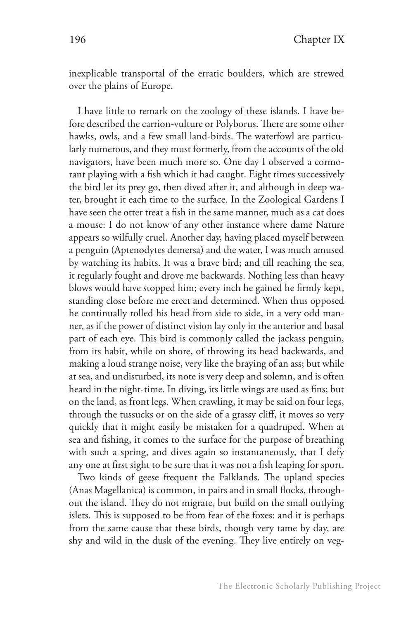inexplicable transportal of the erratic boulders, which are strewed over the plains of Europe.

I have little to remark on the zoology of these islands. I have before described the carrion-vulture or Polyborus. There are some other hawks, owls, and a few small land-birds. The waterfowl are particularly numerous, and they must formerly, from the accounts of the old navigators, have been much more so. One day I observed a cormorant playing with a fish which it had caught. Eight times successively the bird let its prey go, then dived after it, and although in deep water, brought it each time to the surface. In the Zoological Gardens I have seen the otter treat a fish in the same manner, much as a cat does a mouse: I do not know of any other instance where dame Nature appears so wilfully cruel. Another day, having placed myself between a penguin (Aptenodytes demersa) and the water, I was much amused by watching its habits. It was a brave bird; and till reaching the sea, it regularly fought and drove me backwards. Nothing less than heavy blows would have stopped him; every inch he gained he firmly kept, standing close before me erect and determined. When thus opposed he continually rolled his head from side to side, in a very odd manner, as if the power of distinct vision lay only in the anterior and basal part of each eye. This bird is commonly called the jackass penguin, from its habit, while on shore, of throwing its head backwards, and making a loud strange noise, very like the braying of an ass; but while at sea, and undisturbed, its note is very deep and solemn, and is often heard in the night-time. In diving, its little wings are used as fins; but on the land, as front legs. When crawling, it may be said on four legs, through the tussucks or on the side of a grassy cliff, it moves so very quickly that it might easily be mistaken for a quadruped. When at sea and fishing, it comes to the surface for the purpose of breathing with such a spring, and dives again so instantaneously, that I defy any one at first sight to be sure that it was not a fish leaping for sport.

Two kinds of geese frequent the Falklands. The upland species (Anas Magellanica) is common, in pairs and in small flocks, throughout the island. They do not migrate, but build on the small outlying islets. This is supposed to be from fear of the foxes: and it is perhaps from the same cause that these birds, though very tame by day, are shy and wild in the dusk of the evening. They live entirely on veg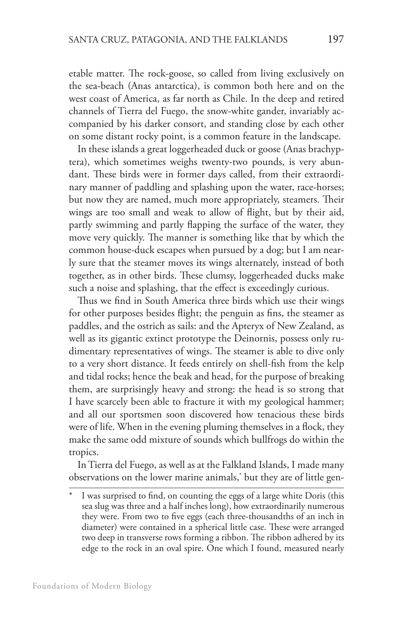etable matter. The rock-goose, so called from living exclusively on the sea-beach (Anas antarctica), is common both here and on the west coast of America, as far north as Chile. In the deep and retired channels of Tierra del Fuego, the snow-white gander, invariably accompanied by his darker consort, and standing close by each other on some distant rocky point, is a common feature in the landscape.

In these islands a great loggerheaded duck or goose (Anas brachyptera), which sometimes weighs twenty-two pounds, is very abundant. These birds were in former days called, from their extraordinary manner of paddling and splashing upon the water, race-horses; but now they are named, much more appropriately, steamers. Their wings are too small and weak to allow of flight, but by their aid, partly swimming and partly flapping the surface of the water, they move very quickly. The manner is something like that by which the common house-duck escapes when pursued by a dog; but I am nearly sure that the steamer moves its wings alternately, instead of both together, as in other birds. These clumsy, loggerheaded ducks make such a noise and splashing, that the effect is exceedingly curious.

Thus we find in South America three birds which use their wings for other purposes besides flight; the penguin as fins, the steamer as paddles, and the ostrich as sails: and the Apteryx of New Zealand, as well as its gigantic extinct prototype the Deinornis, possess only rudimentary representatives of wings. The steamer is able to dive only to a very short distance. It feeds entirely on shell-fish from the kelp and tidal rocks; hence the beak and head, for the purpose of breaking them, are surprisingly heavy and strong: the head is so strong that I have scarcely been able to fracture it with my geological hammer; and all our sportsmen soon discovered how tenacious these birds were of life. When in the evening pluming themselves in a flock, they make the same odd mixture of sounds which bullfrogs do within the tropics.

In Tierra del Fuego, as well as at the Falkland Islands, I made many observations on the lower marine animals,\* but they are of little gen-

I was surprised to find, on counting the eggs of a large white Doris (this sea slug was three and a half inches long), how extraordinarily numerous they were. From two to five eggs (each three-thousandths of an inch in diameter) were contained in a spherical little case. These were arranged two deep in transverse rows forming a ribbon. The ribbon adhered by its edge to the rock in an oval spire. One which I found, measured nearly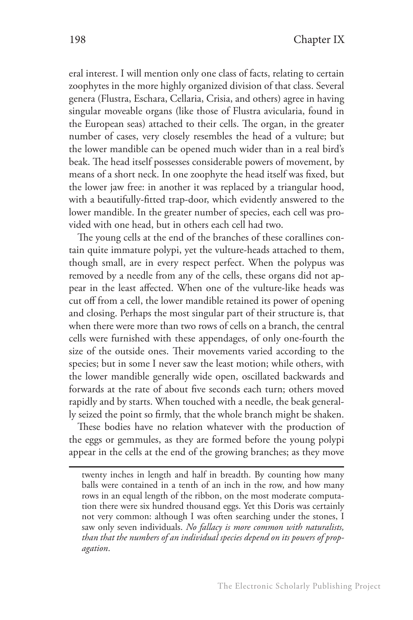eral interest. I will mention only one class of facts, relating to certain zoophytes in the more highly organized division of that class. Several genera (Flustra, Eschara, Cellaria, Crisia, and others) agree in having singular moveable organs (like those of Flustra avicularia, found in the European seas) attached to their cells. The organ, in the greater number of cases, very closely resembles the head of a vulture; but the lower mandible can be opened much wider than in a real bird's beak. The head itself possesses considerable powers of movement, by means of a short neck. In one zoophyte the head itself was fixed, but the lower jaw free: in another it was replaced by a triangular hood, with a beautifully-fitted trap-door, which evidently answered to the lower mandible. In the greater number of species, each cell was provided with one head, but in others each cell had two.

The young cells at the end of the branches of these corallines contain quite immature polypi, yet the vulture-heads attached to them, though small, are in every respect perfect. When the polypus was removed by a needle from any of the cells, these organs did not appear in the least affected. When one of the vulture-like heads was cut off from a cell, the lower mandible retained its power of opening and closing. Perhaps the most singular part of their structure is, that when there were more than two rows of cells on a branch, the central cells were furnished with these appendages, of only one-fourth the size of the outside ones. Their movements varied according to the species; but in some I never saw the least motion; while others, with the lower mandible generally wide open, oscillated backwards and forwards at the rate of about five seconds each turn; others moved rapidly and by starts. When touched with a needle, the beak generally seized the point so firmly, that the whole branch might be shaken.

These bodies have no relation whatever with the production of the eggs or gemmules, as they are formed before the young polypi appear in the cells at the end of the growing branches; as they move

twenty inches in length and half in breadth. By counting how many balls were contained in a tenth of an inch in the row, and how many rows in an equal length of the ribbon, on the most moderate computation there were six hundred thousand eggs. Yet this Doris was certainly not very common: although I was often searching under the stones, I saw only seven individuals. *No fallacy is more common with naturalists, than that the numbers of an individual species depend on its powers of propagation*.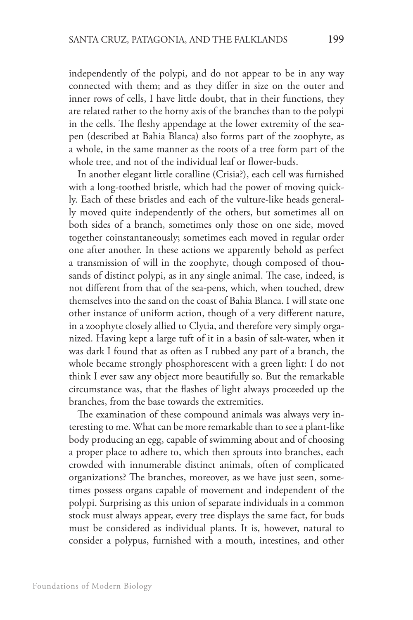independently of the polypi, and do not appear to be in any way connected with them; and as they differ in size on the outer and inner rows of cells, I have little doubt, that in their functions, they are related rather to the horny axis of the branches than to the polypi in the cells. The fleshy appendage at the lower extremity of the seapen (described at Bahia Blanca) also forms part of the zoophyte, as a whole, in the same manner as the roots of a tree form part of the whole tree, and not of the individual leaf or flower-buds.

In another elegant little coralline (Crisia?), each cell was furnished with a long-toothed bristle, which had the power of moving quickly. Each of these bristles and each of the vulture-like heads generally moved quite independently of the others, but sometimes all on both sides of a branch, sometimes only those on one side, moved together coinstantaneously; sometimes each moved in regular order one after another. In these actions we apparently behold as perfect a transmission of will in the zoophyte, though composed of thousands of distinct polypi, as in any single animal. The case, indeed, is not different from that of the sea-pens, which, when touched, drew themselves into the sand on the coast of Bahia Blanca. I will state one other instance of uniform action, though of a very different nature, in a zoophyte closely allied to Clytia, and therefore very simply organized. Having kept a large tuft of it in a basin of salt-water, when it was dark I found that as often as I rubbed any part of a branch, the whole became strongly phosphorescent with a green light: I do not think I ever saw any object more beautifully so. But the remarkable circumstance was, that the flashes of light always proceeded up the branches, from the base towards the extremities.

The examination of these compound animals was always very interesting to me. What can be more remarkable than to see a plant-like body producing an egg, capable of swimming about and of choosing a proper place to adhere to, which then sprouts into branches, each crowded with innumerable distinct animals, often of complicated organizations? The branches, moreover, as we have just seen, sometimes possess organs capable of movement and independent of the polypi. Surprising as this union of separate individuals in a common stock must always appear, every tree displays the same fact, for buds must be considered as individual plants. It is, however, natural to consider a polypus, furnished with a mouth, intestines, and other